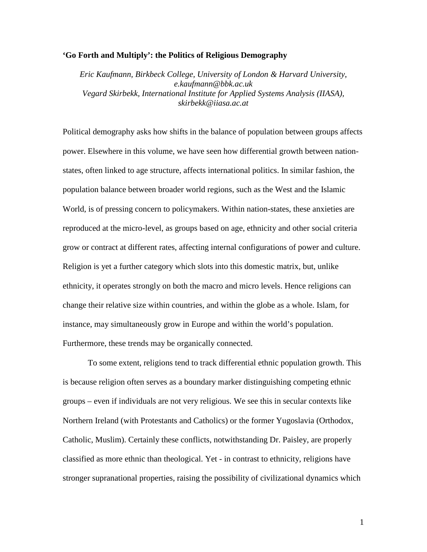## **'Go Forth and Multiply': the Politics of Religious Demography**

*Eric Kaufmann, Birkbeck College, University of London & Harvard University*, *e.kaufmann@bbk.ac.uk Vegard Skirbekk, International Institute for Applied Systems Analysis (IIASA), skirbekk@iiasa.ac.at* 

Political demography asks how shifts in the balance of population between groups affects power. Elsewhere in this volume, we have seen how differential growth between nationstates, often linked to age structure, affects international politics. In similar fashion, the population balance between broader world regions, such as the West and the Islamic World, is of pressing concern to policymakers. Within nation-states, these anxieties are reproduced at the micro-level, as groups based on age, ethnicity and other social criteria grow or contract at different rates, affecting internal configurations of power and culture. Religion is yet a further category which slots into this domestic matrix, but, unlike ethnicity, it operates strongly on both the macro and micro levels. Hence religions can change their relative size within countries, and within the globe as a whole. Islam, for instance, may simultaneously grow in Europe and within the world's population. Furthermore, these trends may be organically connected.

To some extent, religions tend to track differential ethnic population growth. This is because religion often serves as a boundary marker distinguishing competing ethnic groups – even if individuals are not very religious. We see this in secular contexts like Northern Ireland (with Protestants and Catholics) or the former Yugoslavia (Orthodox, Catholic, Muslim). Certainly these conflicts, notwithstanding Dr. Paisley, are properly classified as more ethnic than theological. Yet - in contrast to ethnicity, religions have stronger supranational properties, raising the possibility of civilizational dynamics which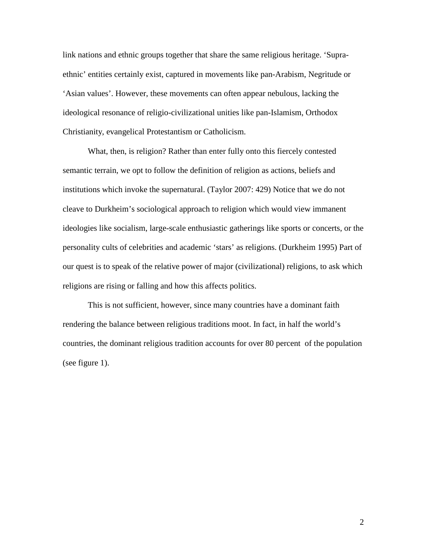link nations and ethnic groups together that share the same religious heritage. 'Supraethnic' entities certainly exist, captured in movements like pan-Arabism, Negritude or 'Asian values'. However, these movements can often appear nebulous, lacking the ideological resonance of religio-civilizational unities like pan-Islamism, Orthodox Christianity, evangelical Protestantism or Catholicism.

What, then, is religion? Rather than enter fully onto this fiercely contested semantic terrain, we opt to follow the definition of religion as actions, beliefs and institutions which invoke the supernatural. (Taylor 2007: 429) Notice that we do not cleave to Durkheim's sociological approach to religion which would view immanent ideologies like socialism, large-scale enthusiastic gatherings like sports or concerts, or the personality cults of celebrities and academic 'stars' as religions. (Durkheim 1995) Part of our quest is to speak of the relative power of major (civilizational) religions, to ask which religions are rising or falling and how this affects politics.

This is not sufficient, however, since many countries have a dominant faith rendering the balance between religious traditions moot. In fact, in half the world's countries, the dominant religious tradition accounts for over 80 percent of the population (see figure 1).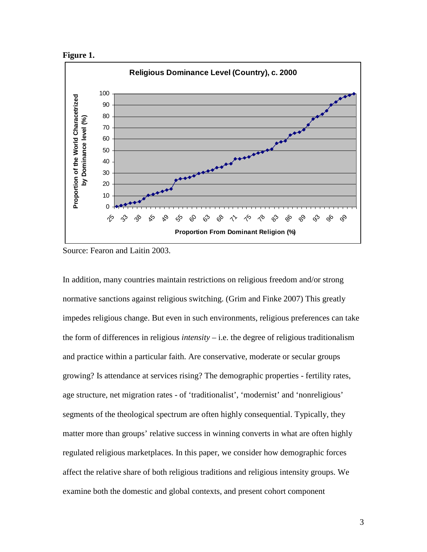



Source: Fearon and Laitin 2003.

In addition, many countries maintain restrictions on religious freedom and/or strong normative sanctions against religious switching. (Grim and Finke 2007) This greatly impedes religious change. But even in such environments, religious preferences can take the form of differences in religious *intensity* – i.e. the degree of religious traditionalism and practice within a particular faith. Are conservative, moderate or secular groups growing? Is attendance at services rising? The demographic properties - fertility rates, age structure, net migration rates - of 'traditionalist', 'modernist' and 'nonreligious' segments of the theological spectrum are often highly consequential. Typically, they matter more than groups' relative success in winning converts in what are often highly regulated religious marketplaces. In this paper, we consider how demographic forces affect the relative share of both religious traditions and religious intensity groups. We examine both the domestic and global contexts, and present cohort component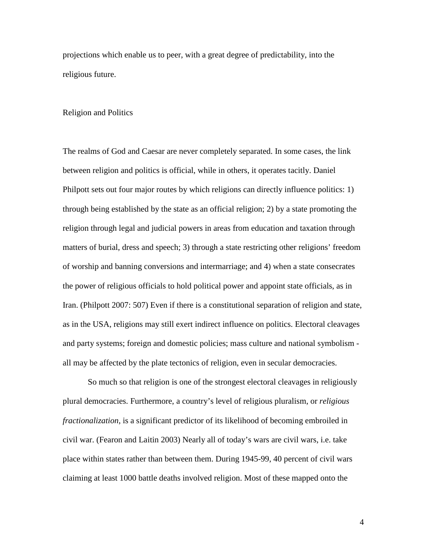projections which enable us to peer, with a great degree of predictability, into the religious future.

### Religion and Politics

The realms of God and Caesar are never completely separated. In some cases, the link between religion and politics is official, while in others, it operates tacitly. Daniel Philpott sets out four major routes by which religions can directly influence politics: 1) through being established by the state as an official religion; 2) by a state promoting the religion through legal and judicial powers in areas from education and taxation through matters of burial, dress and speech; 3) through a state restricting other religions' freedom of worship and banning conversions and intermarriage; and 4) when a state consecrates the power of religious officials to hold political power and appoint state officials, as in Iran. (Philpott 2007: 507) Even if there is a constitutional separation of religion and state, as in the USA, religions may still exert indirect influence on politics. Electoral cleavages and party systems; foreign and domestic policies; mass culture and national symbolism all may be affected by the plate tectonics of religion, even in secular democracies.

So much so that religion is one of the strongest electoral cleavages in religiously plural democracies. Furthermore, a country's level of religious pluralism, or *religious fractionalization*, is a significant predictor of its likelihood of becoming embroiled in civil war. (Fearon and Laitin 2003) Nearly all of today's wars are civil wars, i.e. take place within states rather than between them. During 1945-99, 40 percent of civil wars claiming at least 1000 battle deaths involved religion. Most of these mapped onto the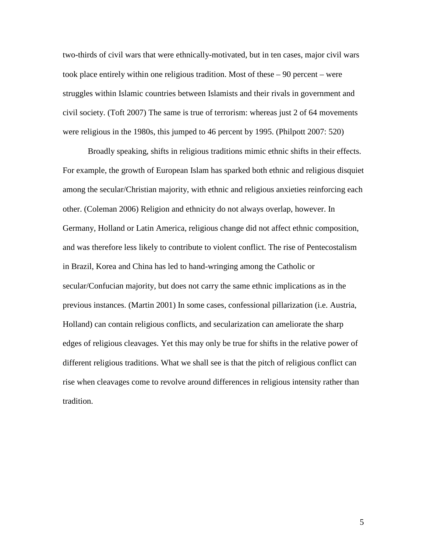two-thirds of civil wars that were ethnically-motivated, but in ten cases, major civil wars took place entirely within one religious tradition. Most of these – 90 percent – were struggles within Islamic countries between Islamists and their rivals in government and civil society. (Toft 2007) The same is true of terrorism: whereas just 2 of 64 movements were religious in the 1980s, this jumped to 46 percent by 1995. (Philpott 2007: 520)

Broadly speaking, shifts in religious traditions mimic ethnic shifts in their effects. For example, the growth of European Islam has sparked both ethnic and religious disquiet among the secular/Christian majority, with ethnic and religious anxieties reinforcing each other. (Coleman 2006) Religion and ethnicity do not always overlap, however. In Germany, Holland or Latin America, religious change did not affect ethnic composition, and was therefore less likely to contribute to violent conflict. The rise of Pentecostalism in Brazil, Korea and China has led to hand-wringing among the Catholic or secular/Confucian majority, but does not carry the same ethnic implications as in the previous instances. (Martin 2001) In some cases, confessional pillarization (i.e. Austria, Holland) can contain religious conflicts, and secularization can ameliorate the sharp edges of religious cleavages. Yet this may only be true for shifts in the relative power of different religious traditions. What we shall see is that the pitch of religious conflict can rise when cleavages come to revolve around differences in religious intensity rather than tradition.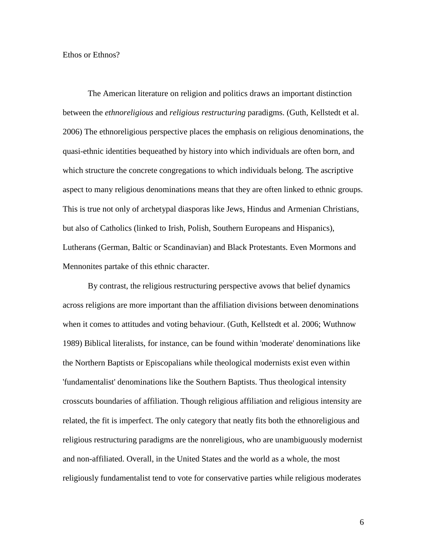Ethos or Ethnos?

The American literature on religion and politics draws an important distinction between the *ethnoreligious* and *religious restructuring* paradigms. (Guth, Kellstedt et al. 2006) The ethnoreligious perspective places the emphasis on religious denominations, the quasi-ethnic identities bequeathed by history into which individuals are often born, and which structure the concrete congregations to which individuals belong. The ascriptive aspect to many religious denominations means that they are often linked to ethnic groups. This is true not only of archetypal diasporas like Jews, Hindus and Armenian Christians, but also of Catholics (linked to Irish, Polish, Southern Europeans and Hispanics), Lutherans (German, Baltic or Scandinavian) and Black Protestants. Even Mormons and Mennonites partake of this ethnic character.

By contrast, the religious restructuring perspective avows that belief dynamics across religions are more important than the affiliation divisions between denominations when it comes to attitudes and voting behaviour. (Guth, Kellstedt et al. 2006; Wuthnow 1989) Biblical literalists, for instance, can be found within 'moderate' denominations like the Northern Baptists or Episcopalians while theological modernists exist even within 'fundamentalist' denominations like the Southern Baptists. Thus theological intensity crosscuts boundaries of affiliation. Though religious affiliation and religious intensity are related, the fit is imperfect. The only category that neatly fits both the ethnoreligious and religious restructuring paradigms are the nonreligious, who are unambiguously modernist and non-affiliated. Overall, in the United States and the world as a whole, the most religiously fundamentalist tend to vote for conservative parties while religious moderates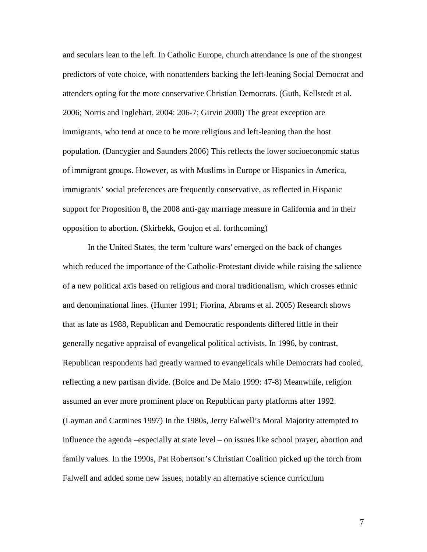and seculars lean to the left. In Catholic Europe, church attendance is one of the strongest predictors of vote choice, with nonattenders backing the left-leaning Social Democrat and attenders opting for the more conservative Christian Democrats. (Guth, Kellstedt et al. 2006; Norris and Inglehart. 2004: 206-7; Girvin 2000) The great exception are immigrants, who tend at once to be more religious and left-leaning than the host population. (Dancygier and Saunders 2006) This reflects the lower socioeconomic status of immigrant groups. However, as with Muslims in Europe or Hispanics in America, immigrants' social preferences are frequently conservative, as reflected in Hispanic support for Proposition 8, the 2008 anti-gay marriage measure in California and in their opposition to abortion. (Skirbekk, Goujon et al. forthcoming)

In the United States, the term 'culture wars' emerged on the back of changes which reduced the importance of the Catholic-Protestant divide while raising the salience of a new political axis based on religious and moral traditionalism, which crosses ethnic and denominational lines. (Hunter 1991; Fiorina, Abrams et al. 2005) Research shows that as late as 1988, Republican and Democratic respondents differed little in their generally negative appraisal of evangelical political activists. In 1996, by contrast, Republican respondents had greatly warmed to evangelicals while Democrats had cooled, reflecting a new partisan divide. (Bolce and De Maio 1999: 47-8) Meanwhile, religion assumed an ever more prominent place on Republican party platforms after 1992. (Layman and Carmines 1997) In the 1980s, Jerry Falwell's Moral Majority attempted to influence the agenda –especially at state level – on issues like school prayer, abortion and family values. In the 1990s, Pat Robertson's Christian Coalition picked up the torch from Falwell and added some new issues, notably an alternative science curriculum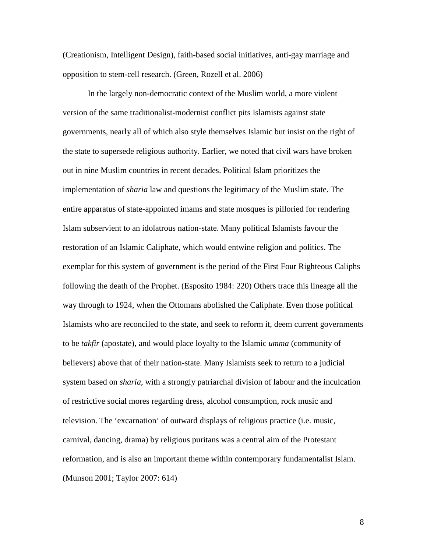(Creationism, Intelligent Design), faith-based social initiatives, anti-gay marriage and opposition to stem-cell research. (Green, Rozell et al. 2006)

In the largely non-democratic context of the Muslim world, a more violent version of the same traditionalist-modernist conflict pits Islamists against state governments, nearly all of which also style themselves Islamic but insist on the right of the state to supersede religious authority. Earlier, we noted that civil wars have broken out in nine Muslim countries in recent decades. Political Islam prioritizes the implementation of *sharia* law and questions the legitimacy of the Muslim state. The entire apparatus of state-appointed imams and state mosques is pilloried for rendering Islam subservient to an idolatrous nation-state. Many political Islamists favour the restoration of an Islamic Caliphate, which would entwine religion and politics. The exemplar for this system of government is the period of the First Four Righteous Caliphs following the death of the Prophet. (Esposito 1984: 220) Others trace this lineage all the way through to 1924, when the Ottomans abolished the Caliphate. Even those political Islamists who are reconciled to the state, and seek to reform it, deem current governments to be *takfir* (apostate), and would place loyalty to the Islamic *umma* (community of believers) above that of their nation-state. Many Islamists seek to return to a judicial system based on *sharia*, with a strongly patriarchal division of labour and the inculcation of restrictive social mores regarding dress, alcohol consumption, rock music and television. The 'excarnation' of outward displays of religious practice (i.e. music, carnival, dancing, drama) by religious puritans was a central aim of the Protestant reformation, and is also an important theme within contemporary fundamentalist Islam. (Munson 2001; Taylor 2007: 614)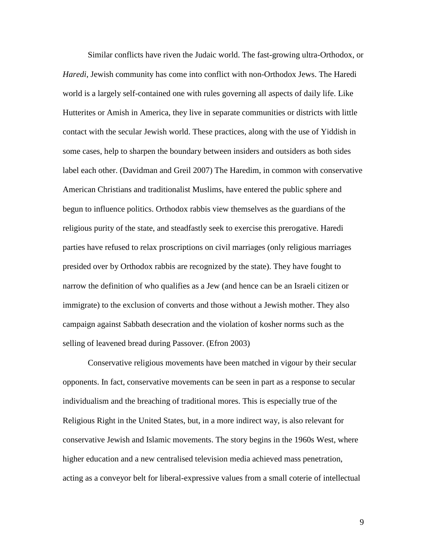Similar conflicts have riven the Judaic world. The fast-growing ultra-Orthodox, or *Haredi*, Jewish community has come into conflict with non-Orthodox Jews. The Haredi world is a largely self-contained one with rules governing all aspects of daily life. Like Hutterites or Amish in America, they live in separate communities or districts with little contact with the secular Jewish world. These practices, along with the use of Yiddish in some cases, help to sharpen the boundary between insiders and outsiders as both sides label each other. (Davidman and Greil 2007) The Haredim, in common with conservative American Christians and traditionalist Muslims, have entered the public sphere and begun to influence politics. Orthodox rabbis view themselves as the guardians of the religious purity of the state, and steadfastly seek to exercise this prerogative. Haredi parties have refused to relax proscriptions on civil marriages (only religious marriages presided over by Orthodox rabbis are recognized by the state). They have fought to narrow the definition of who qualifies as a Jew (and hence can be an Israeli citizen or immigrate) to the exclusion of converts and those without a Jewish mother. They also campaign against Sabbath desecration and the violation of kosher norms such as the selling of leavened bread during Passover. (Efron 2003)

Conservative religious movements have been matched in vigour by their secular opponents. In fact, conservative movements can be seen in part as a response to secular individualism and the breaching of traditional mores. This is especially true of the Religious Right in the United States, but, in a more indirect way, is also relevant for conservative Jewish and Islamic movements. The story begins in the 1960s West, where higher education and a new centralised television media achieved mass penetration, acting as a conveyor belt for liberal-expressive values from a small coterie of intellectual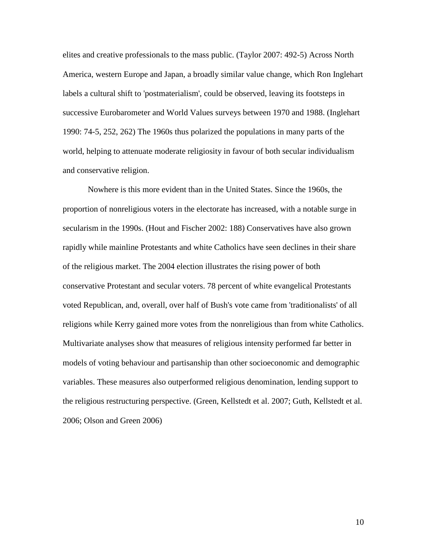elites and creative professionals to the mass public. (Taylor 2007: 492-5) Across North America, western Europe and Japan, a broadly similar value change, which Ron Inglehart labels a cultural shift to 'postmaterialism', could be observed, leaving its footsteps in successive Eurobarometer and World Values surveys between 1970 and 1988. (Inglehart 1990: 74-5, 252, 262) The 1960s thus polarized the populations in many parts of the world, helping to attenuate moderate religiosity in favour of both secular individualism and conservative religion.

Nowhere is this more evident than in the United States. Since the 1960s, the proportion of nonreligious voters in the electorate has increased, with a notable surge in secularism in the 1990s. (Hout and Fischer 2002: 188) Conservatives have also grown rapidly while mainline Protestants and white Catholics have seen declines in their share of the religious market. The 2004 election illustrates the rising power of both conservative Protestant and secular voters. 78 percent of white evangelical Protestants voted Republican, and, overall, over half of Bush's vote came from 'traditionalists' of all religions while Kerry gained more votes from the nonreligious than from white Catholics. Multivariate analyses show that measures of religious intensity performed far better in models of voting behaviour and partisanship than other socioeconomic and demographic variables. These measures also outperformed religious denomination, lending support to the religious restructuring perspective. (Green, Kellstedt et al. 2007; Guth, Kellstedt et al. 2006; Olson and Green 2006)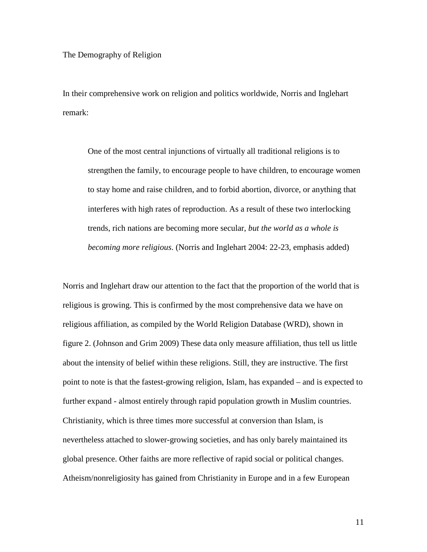## The Demography of Religion

In their comprehensive work on religion and politics worldwide, Norris and Inglehart remark:

One of the most central injunctions of virtually all traditional religions is to strengthen the family, to encourage people to have children, to encourage women to stay home and raise children, and to forbid abortion, divorce, or anything that interferes with high rates of reproduction. As a result of these two interlocking trends, rich nations are becoming more secular, *but the world as a whole is becoming more religious*. (Norris and Inglehart 2004: 22-23, emphasis added)

Norris and Inglehart draw our attention to the fact that the proportion of the world that is religious is growing. This is confirmed by the most comprehensive data we have on religious affiliation, as compiled by the World Religion Database (WRD), shown in figure 2. (Johnson and Grim 2009) These data only measure affiliation, thus tell us little about the intensity of belief within these religions. Still, they are instructive. The first point to note is that the fastest-growing religion, Islam, has expanded – and is expected to further expand - almost entirely through rapid population growth in Muslim countries. Christianity, which is three times more successful at conversion than Islam, is nevertheless attached to slower-growing societies, and has only barely maintained its global presence. Other faiths are more reflective of rapid social or political changes. Atheism/nonreligiosity has gained from Christianity in Europe and in a few European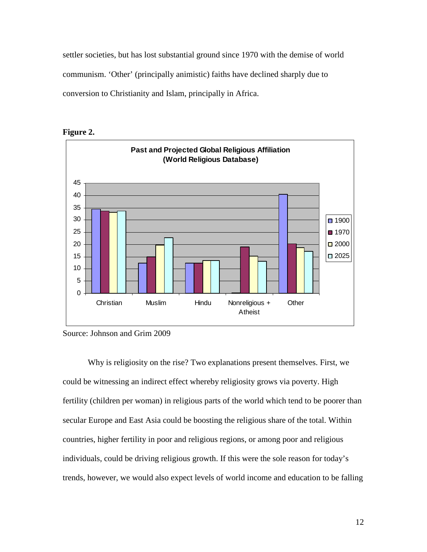settler societies, but has lost substantial ground since 1970 with the demise of world communism. 'Other' (principally animistic) faiths have declined sharply due to conversion to Christianity and Islam, principally in Africa.



**Figure 2.** 

Why is religiosity on the rise? Two explanations present themselves. First, we could be witnessing an indirect effect whereby religiosity grows via poverty. High fertility (children per woman) in religious parts of the world which tend to be poorer than secular Europe and East Asia could be boosting the religious share of the total. Within countries, higher fertility in poor and religious regions, or among poor and religious individuals, could be driving religious growth. If this were the sole reason for today's trends, however, we would also expect levels of world income and education to be falling

Source: Johnson and Grim 2009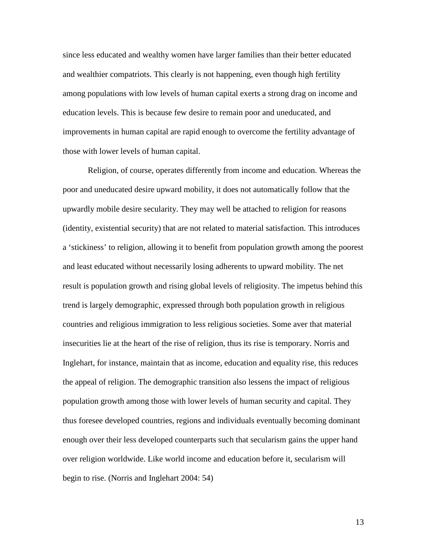since less educated and wealthy women have larger families than their better educated and wealthier compatriots. This clearly is not happening, even though high fertility among populations with low levels of human capital exerts a strong drag on income and education levels. This is because few desire to remain poor and uneducated, and improvements in human capital are rapid enough to overcome the fertility advantage of those with lower levels of human capital.

Religion, of course, operates differently from income and education. Whereas the poor and uneducated desire upward mobility, it does not automatically follow that the upwardly mobile desire secularity. They may well be attached to religion for reasons (identity, existential security) that are not related to material satisfaction. This introduces a 'stickiness' to religion, allowing it to benefit from population growth among the poorest and least educated without necessarily losing adherents to upward mobility. The net result is population growth and rising global levels of religiosity. The impetus behind this trend is largely demographic, expressed through both population growth in religious countries and religious immigration to less religious societies. Some aver that material insecurities lie at the heart of the rise of religion, thus its rise is temporary. Norris and Inglehart, for instance, maintain that as income, education and equality rise, this reduces the appeal of religion. The demographic transition also lessens the impact of religious population growth among those with lower levels of human security and capital. They thus foresee developed countries, regions and individuals eventually becoming dominant enough over their less developed counterparts such that secularism gains the upper hand over religion worldwide. Like world income and education before it, secularism will begin to rise. (Norris and Inglehart 2004: 54)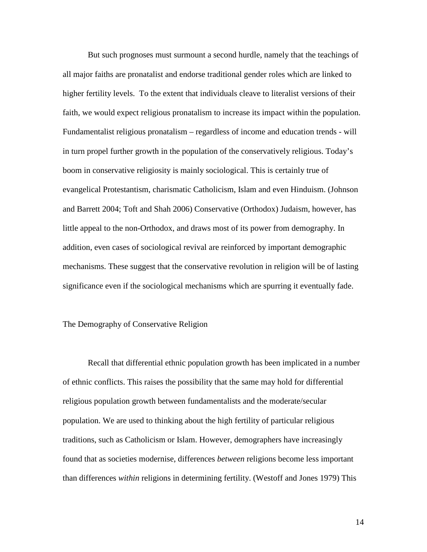But such prognoses must surmount a second hurdle, namely that the teachings of all major faiths are pronatalist and endorse traditional gender roles which are linked to higher fertility levels. To the extent that individuals cleave to literalist versions of their faith, we would expect religious pronatalism to increase its impact within the population. Fundamentalist religious pronatalism – regardless of income and education trends - will in turn propel further growth in the population of the conservatively religious. Today's boom in conservative religiosity is mainly sociological. This is certainly true of evangelical Protestantism, charismatic Catholicism, Islam and even Hinduism. (Johnson and Barrett 2004; Toft and Shah 2006) Conservative (Orthodox) Judaism, however, has little appeal to the non-Orthodox, and draws most of its power from demography. In addition, even cases of sociological revival are reinforced by important demographic mechanisms. These suggest that the conservative revolution in religion will be of lasting significance even if the sociological mechanisms which are spurring it eventually fade.

## The Demography of Conservative Religion

Recall that differential ethnic population growth has been implicated in a number of ethnic conflicts. This raises the possibility that the same may hold for differential religious population growth between fundamentalists and the moderate/secular population. We are used to thinking about the high fertility of particular religious traditions, such as Catholicism or Islam. However, demographers have increasingly found that as societies modernise, differences *between* religions become less important than differences *within* religions in determining fertility. (Westoff and Jones 1979) This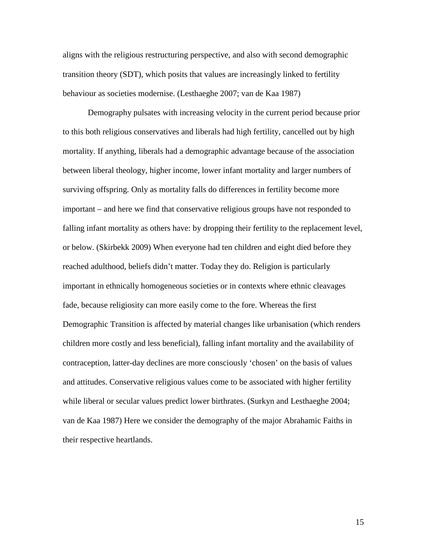aligns with the religious restructuring perspective, and also with second demographic transition theory (SDT), which posits that values are increasingly linked to fertility behaviour as societies modernise. (Lesthaeghe 2007; van de Kaa 1987)

Demography pulsates with increasing velocity in the current period because prior to this both religious conservatives and liberals had high fertility, cancelled out by high mortality. If anything, liberals had a demographic advantage because of the association between liberal theology, higher income, lower infant mortality and larger numbers of surviving offspring. Only as mortality falls do differences in fertility become more important – and here we find that conservative religious groups have not responded to falling infant mortality as others have: by dropping their fertility to the replacement level, or below. (Skirbekk 2009) When everyone had ten children and eight died before they reached adulthood, beliefs didn't matter. Today they do. Religion is particularly important in ethnically homogeneous societies or in contexts where ethnic cleavages fade, because religiosity can more easily come to the fore. Whereas the first Demographic Transition is affected by material changes like urbanisation (which renders children more costly and less beneficial), falling infant mortality and the availability of contraception, latter-day declines are more consciously 'chosen' on the basis of values and attitudes. Conservative religious values come to be associated with higher fertility while liberal or secular values predict lower birthrates. (Surkyn and Lesthaeghe 2004; van de Kaa 1987) Here we consider the demography of the major Abrahamic Faiths in their respective heartlands.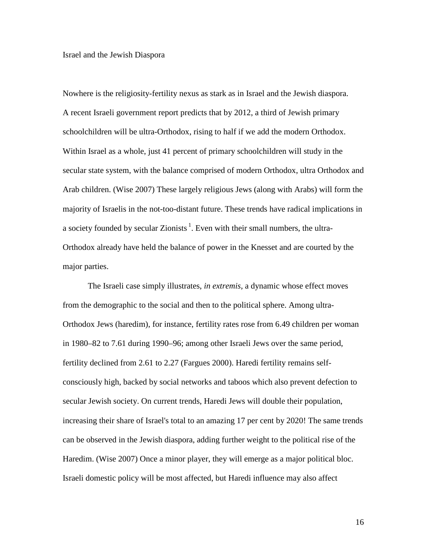#### Israel and the Jewish Diaspora

Nowhere is the religiosity-fertility nexus as stark as in Israel and the Jewish diaspora. A recent Israeli government report predicts that by 2012, a third of Jewish primary schoolchildren will be ultra-Orthodox, rising to half if we add the modern Orthodox. Within Israel as a whole, just 41 percent of primary schoolchildren will study in the secular state system, with the balance comprised of modern Orthodox, ultra Orthodox and Arab children. (Wise 2007) These largely religious Jews (along with Arabs) will form the majority of Israelis in the not-too-distant future. These trends have radical implications in a society founded by secular Zionists<sup>1</sup>. Even with their small numbers, the ultra-Orthodox already have held the balance of power in the Knesset and are courted by the major parties.

The Israeli case simply illustrates, *in extremis*, a dynamic whose effect moves from the demographic to the social and then to the political sphere. Among ultra-Orthodox Jews (haredim), for instance, fertility rates rose from 6.49 children per woman in 1980–82 to 7.61 during 1990–96; among other Israeli Jews over the same period, fertility declined from 2.61 to 2.27 (Fargues 2000). Haredi fertility remains selfconsciously high, backed by social networks and taboos which also prevent defection to secular Jewish society. On current trends, Haredi Jews will double their population, increasing their share of Israel's total to an amazing 17 per cent by 2020! The same trends can be observed in the Jewish diaspora, adding further weight to the political rise of the Haredim. (Wise 2007) Once a minor player, they will emerge as a major political bloc. Israeli domestic policy will be most affected, but Haredi influence may also affect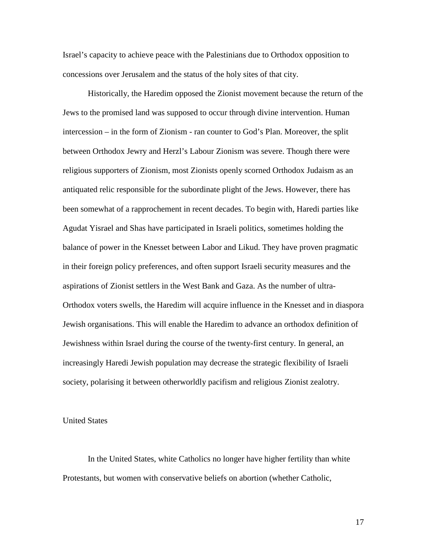Israel's capacity to achieve peace with the Palestinians due to Orthodox opposition to concessions over Jerusalem and the status of the holy sites of that city.

Historically, the Haredim opposed the Zionist movement because the return of the Jews to the promised land was supposed to occur through divine intervention. Human intercession – in the form of Zionism - ran counter to God's Plan. Moreover, the split between Orthodox Jewry and Herzl's Labour Zionism was severe. Though there were religious supporters of Zionism, most Zionists openly scorned Orthodox Judaism as an antiquated relic responsible for the subordinate plight of the Jews. However, there has been somewhat of a rapprochement in recent decades. To begin with, Haredi parties like Agudat Yisrael and Shas have participated in Israeli politics, sometimes holding the balance of power in the Knesset between Labor and Likud. They have proven pragmatic in their foreign policy preferences, and often support Israeli security measures and the aspirations of Zionist settlers in the West Bank and Gaza. As the number of ultra-Orthodox voters swells, the Haredim will acquire influence in the Knesset and in diaspora Jewish organisations. This will enable the Haredim to advance an orthodox definition of Jewishness within Israel during the course of the twenty-first century. In general, an increasingly Haredi Jewish population may decrease the strategic flexibility of Israeli society, polarising it between otherworldly pacifism and religious Zionist zealotry.

## United States

In the United States, white Catholics no longer have higher fertility than white Protestants, but women with conservative beliefs on abortion (whether Catholic,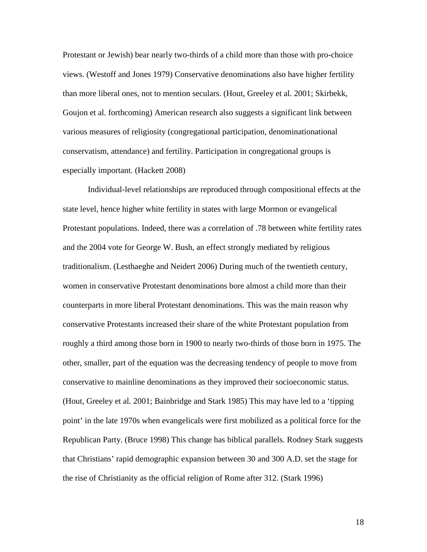Protestant or Jewish) bear nearly two-thirds of a child more than those with pro-choice views. (Westoff and Jones 1979) Conservative denominations also have higher fertility than more liberal ones, not to mention seculars. (Hout, Greeley et al. 2001; Skirbekk, Goujon et al. forthcoming) American research also suggests a significant link between various measures of religiosity (congregational participation, denominationational conservatism, attendance) and fertility. Participation in congregational groups is especially important. (Hackett 2008)

Individual-level relationships are reproduced through compositional effects at the state level, hence higher white fertility in states with large Mormon or evangelical Protestant populations. Indeed, there was a correlation of .78 between white fertility rates and the 2004 vote for George W. Bush, an effect strongly mediated by religious traditionalism. (Lesthaeghe and Neidert 2006) During much of the twentieth century, women in conservative Protestant denominations bore almost a child more than their counterparts in more liberal Protestant denominations. This was the main reason why conservative Protestants increased their share of the white Protestant population from roughly a third among those born in 1900 to nearly two-thirds of those born in 1975. The other, smaller, part of the equation was the decreasing tendency of people to move from conservative to mainline denominations as they improved their socioeconomic status. (Hout, Greeley et al. 2001; Bainbridge and Stark 1985) This may have led to a 'tipping point' in the late 1970s when evangelicals were first mobilized as a political force for the Republican Party. (Bruce 1998) This change has biblical parallels. Rodney Stark suggests that Christians' rapid demographic expansion between 30 and 300 A.D. set the stage for the rise of Christianity as the official religion of Rome after 312. (Stark 1996)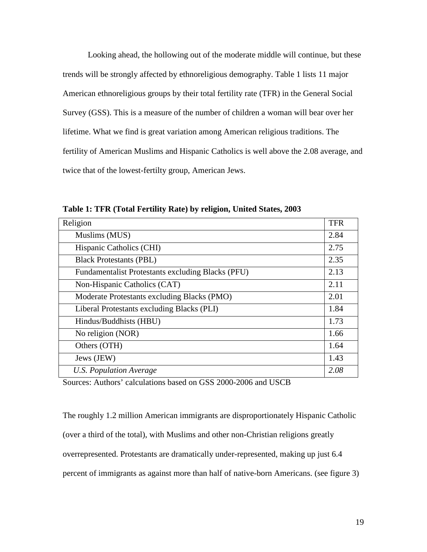Looking ahead, the hollowing out of the moderate middle will continue, but these trends will be strongly affected by ethnoreligious demography. Table 1 lists 11 major American ethnoreligious groups by their total fertility rate (TFR) in the General Social Survey (GSS). This is a measure of the number of children a woman will bear over her lifetime. What we find is great variation among American religious traditions. The fertility of American Muslims and Hispanic Catholics is well above the 2.08 average, and twice that of the lowest-fertilty group, American Jews.

| Religion                                          | <b>TFR</b> |
|---------------------------------------------------|------------|
| Muslims (MUS)                                     | 2.84       |
| Hispanic Catholics (CHI)                          | 2.75       |
| <b>Black Protestants (PBL)</b>                    | 2.35       |
| Fundamentalist Protestants excluding Blacks (PFU) | 2.13       |
| Non-Hispanic Catholics (CAT)                      | 2.11       |
| Moderate Protestants excluding Blacks (PMO)       | 2.01       |
| Liberal Protestants excluding Blacks (PLI)        | 1.84       |
| Hindus/Buddhists (HBU)                            | 1.73       |
| No religion (NOR)                                 | 1.66       |
| Others (OTH)                                      | 1.64       |
| Jews (JEW)                                        | 1.43       |
| U.S. Population Average                           | 2.08       |

**Table 1: TFR (Total Fertility Rate) by religion, United States, 2003** 

Sources: Authors' calculations based on GSS 2000-2006 and USCB

The roughly 1.2 million American immigrants are disproportionately Hispanic Catholic (over a third of the total), with Muslims and other non-Christian religions greatly overrepresented. Protestants are dramatically under-represented, making up just 6.4 percent of immigrants as against more than half of native-born Americans. (see figure 3)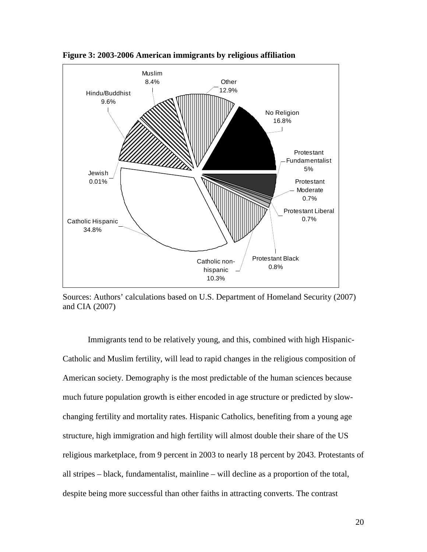

**Figure 3: 2003-2006 American immigrants by religious affiliation** 

Sources: Authors' calculations based on U.S. Department of Homeland Security (2007) and CIA (2007)

 Immigrants tend to be relatively young, and this, combined with high Hispanic-Catholic and Muslim fertility, will lead to rapid changes in the religious composition of American society. Demography is the most predictable of the human sciences because much future population growth is either encoded in age structure or predicted by slowchanging fertility and mortality rates. Hispanic Catholics, benefiting from a young age structure, high immigration and high fertility will almost double their share of the US religious marketplace, from 9 percent in 2003 to nearly 18 percent by 2043. Protestants of all stripes – black, fundamentalist, mainline – will decline as a proportion of the total, despite being more successful than other faiths in attracting converts. The contrast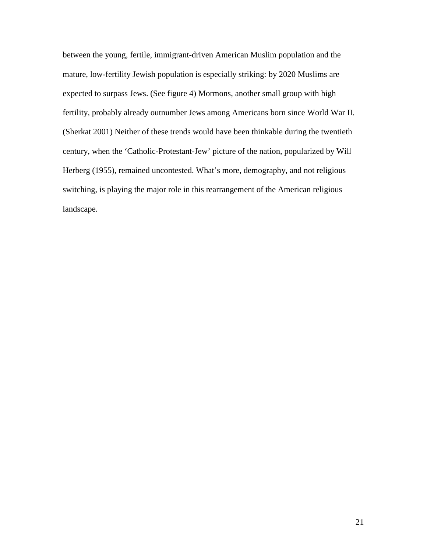between the young, fertile, immigrant-driven American Muslim population and the mature, low-fertility Jewish population is especially striking: by 2020 Muslims are expected to surpass Jews. (See figure 4) Mormons, another small group with high fertility, probably already outnumber Jews among Americans born since World War II. (Sherkat 2001) Neither of these trends would have been thinkable during the twentieth century, when the 'Catholic-Protestant-Jew' picture of the nation, popularized by Will Herberg (1955), remained uncontested. What's more, demography, and not religious switching, is playing the major role in this rearrangement of the American religious landscape.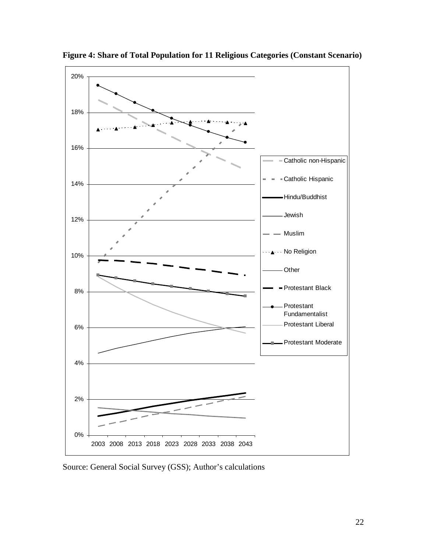

**Figure 4: Share of Total Population for 11 Religious Categories (Constant Scenario)** 

Source: General Social Survey (GSS); Author's calculations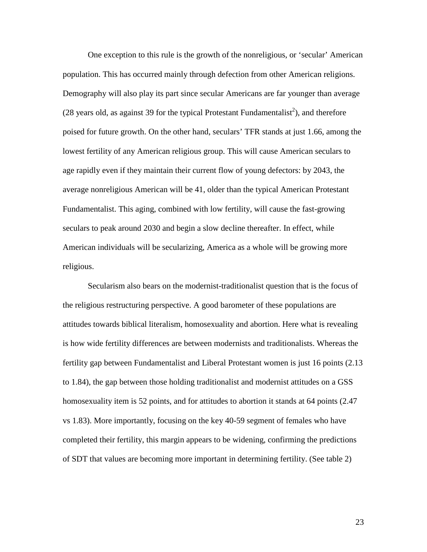One exception to this rule is the growth of the nonreligious, or 'secular' American population. This has occurred mainly through defection from other American religions. Demography will also play its part since secular Americans are far younger than average (28 years old, as against 39 for the typical Protestant Fundamentalist<sup>2</sup>), and therefore poised for future growth. On the other hand, seculars' TFR stands at just 1.66, among the lowest fertility of any American religious group. This will cause American seculars to age rapidly even if they maintain their current flow of young defectors: by 2043, the average nonreligious American will be 41, older than the typical American Protestant Fundamentalist. This aging, combined with low fertility, will cause the fast-growing seculars to peak around 2030 and begin a slow decline thereafter. In effect, while American individuals will be secularizing, America as a whole will be growing more religious.

 Secularism also bears on the modernist-traditionalist question that is the focus of the religious restructuring perspective. A good barometer of these populations are attitudes towards biblical literalism, homosexuality and abortion. Here what is revealing is how wide fertility differences are between modernists and traditionalists. Whereas the fertility gap between Fundamentalist and Liberal Protestant women is just 16 points (2.13 to 1.84), the gap between those holding traditionalist and modernist attitudes on a GSS homosexuality item is 52 points, and for attitudes to abortion it stands at 64 points (2.47) vs 1.83). More importantly, focusing on the key 40-59 segment of females who have completed their fertility, this margin appears to be widening, confirming the predictions of SDT that values are becoming more important in determining fertility. (See table 2)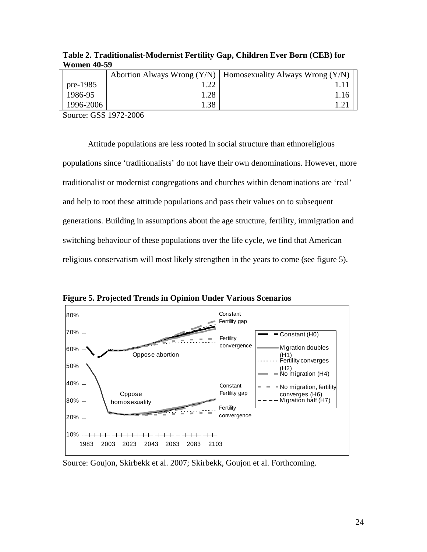|           |      | Abortion Always Wrong $(Y/N)$   Homosexuality Always Wrong $(Y/N)$ |
|-----------|------|--------------------------------------------------------------------|
| pre-1985  |      |                                                                    |
| 1986-95   | .28  |                                                                    |
| 1996-2006 | l.38 |                                                                    |

**Table 2. Traditionalist-Modernist Fertility Gap, Children Ever Born (CEB) for Women 40-59** 

Source: GSS 1972-2006

Attitude populations are less rooted in social structure than ethnoreligious populations since 'traditionalists' do not have their own denominations. However, more traditionalist or modernist congregations and churches within denominations are 'real' and help to root these attitude populations and pass their values on to subsequent generations. Building in assumptions about the age structure, fertility, immigration and switching behaviour of these populations over the life cycle, we find that American religious conservatism will most likely strengthen in the years to come (see figure 5).



**Figure 5. Projected Trends in Opinion Under Various Scenarios** 

Source: Goujon, Skirbekk et al. 2007; Skirbekk, Goujon et al. Forthcoming.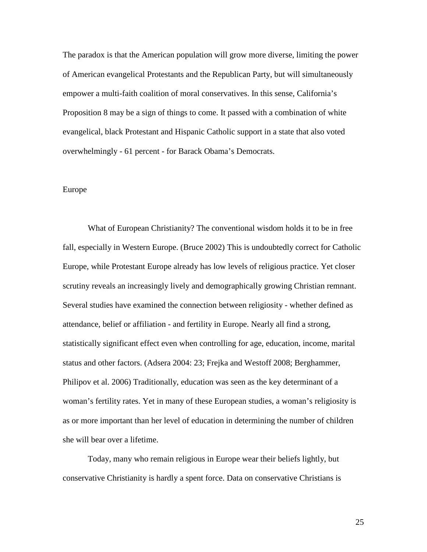The paradox is that the American population will grow more diverse, limiting the power of American evangelical Protestants and the Republican Party, but will simultaneously empower a multi-faith coalition of moral conservatives. In this sense, California's Proposition 8 may be a sign of things to come. It passed with a combination of white evangelical, black Protestant and Hispanic Catholic support in a state that also voted overwhelmingly - 61 percent - for Barack Obama's Democrats.

# Europe

What of European Christianity? The conventional wisdom holds it to be in free fall, especially in Western Europe. (Bruce 2002) This is undoubtedly correct for Catholic Europe, while Protestant Europe already has low levels of religious practice. Yet closer scrutiny reveals an increasingly lively and demographically growing Christian remnant. Several studies have examined the connection between religiosity - whether defined as attendance, belief or affiliation - and fertility in Europe. Nearly all find a strong, statistically significant effect even when controlling for age, education, income, marital status and other factors. (Adsera 2004: 23; Frejka and Westoff 2008; Berghammer, Philipov et al. 2006) Traditionally, education was seen as the key determinant of a woman's fertility rates. Yet in many of these European studies, a woman's religiosity is as or more important than her level of education in determining the number of children she will bear over a lifetime.

Today, many who remain religious in Europe wear their beliefs lightly, but conservative Christianity is hardly a spent force. Data on conservative Christians is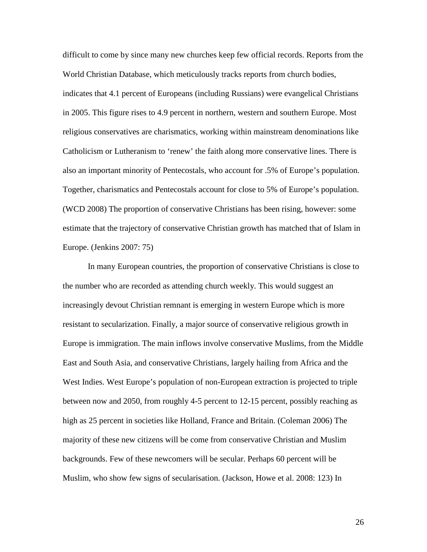difficult to come by since many new churches keep few official records. Reports from the World Christian Database, which meticulously tracks reports from church bodies, indicates that 4.1 percent of Europeans (including Russians) were evangelical Christians in 2005. This figure rises to 4.9 percent in northern, western and southern Europe. Most religious conservatives are charismatics, working within mainstream denominations like Catholicism or Lutheranism to 'renew' the faith along more conservative lines. There is also an important minority of Pentecostals, who account for .5% of Europe's population. Together, charismatics and Pentecostals account for close to 5% of Europe's population. (WCD 2008) The proportion of conservative Christians has been rising, however: some estimate that the trajectory of conservative Christian growth has matched that of Islam in Europe. (Jenkins 2007: 75)

In many European countries, the proportion of conservative Christians is close to the number who are recorded as attending church weekly. This would suggest an increasingly devout Christian remnant is emerging in western Europe which is more resistant to secularization. Finally, a major source of conservative religious growth in Europe is immigration. The main inflows involve conservative Muslims, from the Middle East and South Asia, and conservative Christians, largely hailing from Africa and the West Indies. West Europe's population of non-European extraction is projected to triple between now and 2050, from roughly 4-5 percent to 12-15 percent, possibly reaching as high as 25 percent in societies like Holland, France and Britain. (Coleman 2006) The majority of these new citizens will be come from conservative Christian and Muslim backgrounds. Few of these newcomers will be secular. Perhaps 60 percent will be Muslim, who show few signs of secularisation. (Jackson, Howe et al. 2008: 123) In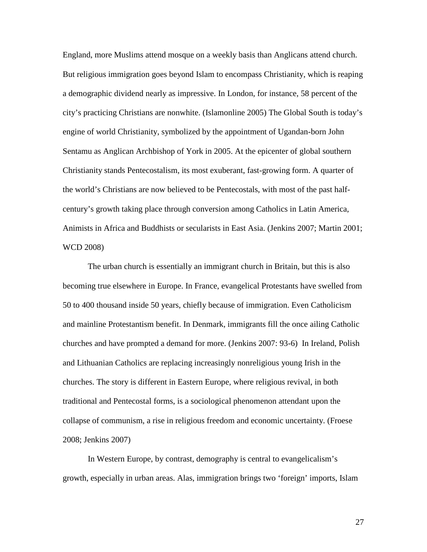England, more Muslims attend mosque on a weekly basis than Anglicans attend church. But religious immigration goes beyond Islam to encompass Christianity, which is reaping a demographic dividend nearly as impressive. In London, for instance, 58 percent of the city's practicing Christians are nonwhite. (Islamonline 2005) The Global South is today's engine of world Christianity, symbolized by the appointment of Ugandan-born John Sentamu as Anglican Archbishop of York in 2005. At the epicenter of global southern Christianity stands Pentecostalism, its most exuberant, fast-growing form. A quarter of the world's Christians are now believed to be Pentecostals, with most of the past halfcentury's growth taking place through conversion among Catholics in Latin America, Animists in Africa and Buddhists or secularists in East Asia. (Jenkins 2007; Martin 2001; WCD 2008)

The urban church is essentially an immigrant church in Britain, but this is also becoming true elsewhere in Europe. In France, evangelical Protestants have swelled from 50 to 400 thousand inside 50 years, chiefly because of immigration. Even Catholicism and mainline Protestantism benefit. In Denmark, immigrants fill the once ailing Catholic churches and have prompted a demand for more. (Jenkins 2007: 93-6) In Ireland, Polish and Lithuanian Catholics are replacing increasingly nonreligious young Irish in the churches. The story is different in Eastern Europe, where religious revival, in both traditional and Pentecostal forms, is a sociological phenomenon attendant upon the collapse of communism, a rise in religious freedom and economic uncertainty. (Froese 2008; Jenkins 2007)

In Western Europe, by contrast, demography is central to evangelicalism's growth, especially in urban areas. Alas, immigration brings two 'foreign' imports, Islam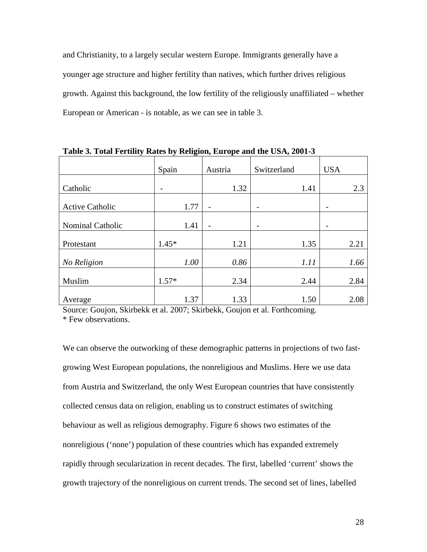and Christianity, to a largely secular western Europe. Immigrants generally have a younger age structure and higher fertility than natives, which further drives religious growth. Against this background, the low fertility of the religiously unaffiliated – whether European or American - is notable, as we can see in table 3.

|                        | Spain   | Austria        | Switzerland | <b>USA</b> |
|------------------------|---------|----------------|-------------|------------|
| Catholic               | -       | 1.32           | 1.41        | 2.3        |
| <b>Active Catholic</b> | 1.77    | $\overline{a}$ |             |            |
| Nominal Catholic       | 1.41    | -              |             |            |
| Protestant             | $1.45*$ | 1.21           | 1.35        | 2.21       |
| No Religion            | 1.00    | 0.86           | 1.11        | 1.66       |
| Muslim                 | $1.57*$ | 2.34           | 2.44        | 2.84       |
| Average                | 1.37    | 1.33           | 1.50        | 2.08       |

**Table 3. Total Fertility Rates by Religion, Europe and the USA, 2001-3** 

Source: Goujon, Skirbekk et al. 2007; Skirbekk, Goujon et al. Forthcoming. \* Few observations.

We can observe the outworking of these demographic patterns in projections of two fastgrowing West European populations, the nonreligious and Muslims. Here we use data from Austria and Switzerland, the only West European countries that have consistently collected census data on religion, enabling us to construct estimates of switching behaviour as well as religious demography. Figure 6 shows two estimates of the nonreligious ('none') population of these countries which has expanded extremely rapidly through secularization in recent decades. The first, labelled 'current' shows the growth trajectory of the nonreligious on current trends. The second set of lines, labelled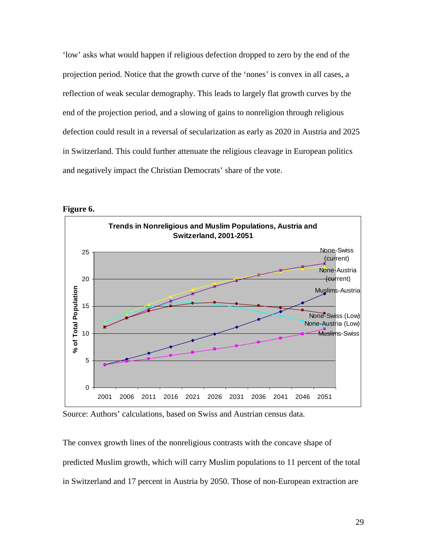'low' asks what would happen if religious defection dropped to zero by the end of the projection period. Notice that the growth curve of the 'nones' is convex in all cases, a reflection of weak secular demography. This leads to largely flat growth curves by the end of the projection period, and a slowing of gains to nonreligion through religious defection could result in a reversal of secularization as early as 2020 in Austria and 2025 in Switzerland. This could further attenuate the religious cleavage in European politics and negatively impact the Christian Democrats' share of the vote.



**Figure 6.** 

Source: Authors' calculations, based on Swiss and Austrian census data.

The convex growth lines of the nonreligious contrasts with the concave shape of predicted Muslim growth, which will carry Muslim populations to 11 percent of the total in Switzerland and 17 percent in Austria by 2050. Those of non-European extraction are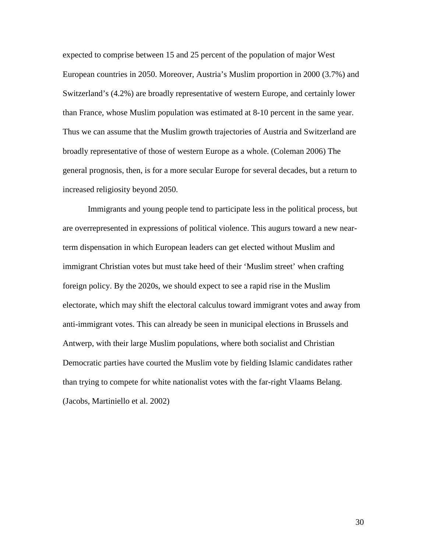expected to comprise between 15 and 25 percent of the population of major West European countries in 2050. Moreover, Austria's Muslim proportion in 2000 (3.7%) and Switzerland's (4.2%) are broadly representative of western Europe, and certainly lower than France, whose Muslim population was estimated at 8-10 percent in the same year. Thus we can assume that the Muslim growth trajectories of Austria and Switzerland are broadly representative of those of western Europe as a whole. (Coleman 2006) The general prognosis, then, is for a more secular Europe for several decades, but a return to increased religiosity beyond 2050.

Immigrants and young people tend to participate less in the political process, but are overrepresented in expressions of political violence. This augurs toward a new nearterm dispensation in which European leaders can get elected without Muslim and immigrant Christian votes but must take heed of their 'Muslim street' when crafting foreign policy. By the 2020s, we should expect to see a rapid rise in the Muslim electorate, which may shift the electoral calculus toward immigrant votes and away from anti-immigrant votes. This can already be seen in municipal elections in Brussels and Antwerp, with their large Muslim populations, where both socialist and Christian Democratic parties have courted the Muslim vote by fielding Islamic candidates rather than trying to compete for white nationalist votes with the far-right Vlaams Belang. (Jacobs, Martiniello et al. 2002)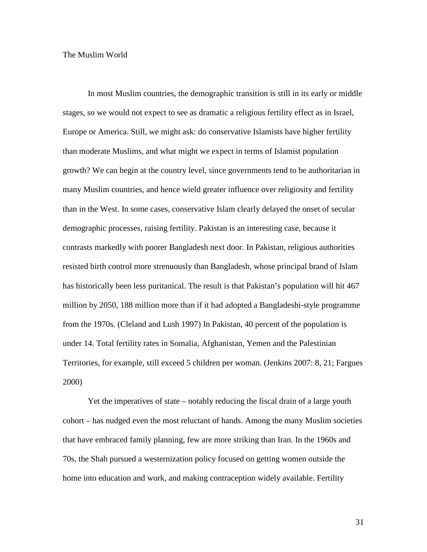### The Muslim World

In most Muslim countries, the demographic transition is still in its early or middle stages, so we would not expect to see as dramatic a religious fertility effect as in Israel, Europe or America. Still, we might ask: do conservative Islamists have higher fertility than moderate Muslims, and what might we expect in terms of Islamist population growth? We can begin at the country level, since governments tend to be authoritarian in many Muslim countries, and hence wield greater influence over religiosity and fertility than in the West. In some cases, conservative Islam clearly delayed the onset of secular demographic processes, raising fertility. Pakistan is an interesting case, because it contrasts markedly with poorer Bangladesh next door. In Pakistan, religious authorities resisted birth control more strenuously than Bangladesh, whose principal brand of Islam has historically been less puritanical. The result is that Pakistan's population will hit 467 million by 2050, 188 million more than if it had adopted a Bangladeshi-style programme from the 1970s. (Cleland and Lush 1997) In Pakistan, 40 percent of the population is under 14. Total fertility rates in Somalia, Afghanistan, Yemen and the Palestinian Territories, for example, still exceed 5 children per woman. (Jenkins 2007: 8, 21; Fargues 2000)

Yet the imperatives of state – notably reducing the fiscal drain of a large youth cohort – has nudged even the most reluctant of hands. Among the many Muslim societies that have embraced family planning, few are more striking than Iran. In the 1960s and 70s, the Shah pursued a westernization policy focused on getting women outside the home into education and work, and making contraception widely available. Fertility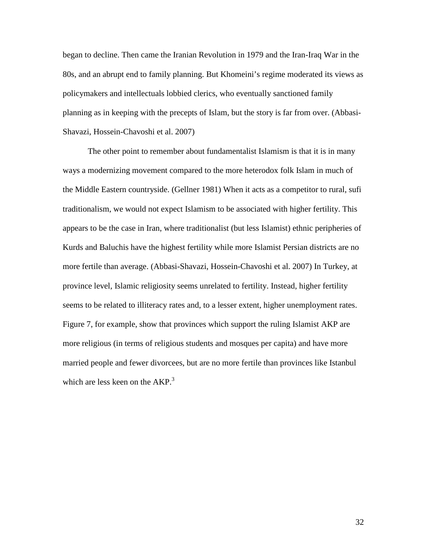began to decline. Then came the Iranian Revolution in 1979 and the Iran-Iraq War in the 80s, and an abrupt end to family planning. But Khomeini's regime moderated its views as policymakers and intellectuals lobbied clerics, who eventually sanctioned family planning as in keeping with the precepts of Islam, but the story is far from over. (Abbasi-Shavazi, Hossein-Chavoshi et al. 2007)

The other point to remember about fundamentalist Islamism is that it is in many ways a modernizing movement compared to the more heterodox folk Islam in much of the Middle Eastern countryside. (Gellner 1981) When it acts as a competitor to rural, sufi traditionalism, we would not expect Islamism to be associated with higher fertility. This appears to be the case in Iran, where traditionalist (but less Islamist) ethnic peripheries of Kurds and Baluchis have the highest fertility while more Islamist Persian districts are no more fertile than average. (Abbasi-Shavazi, Hossein-Chavoshi et al. 2007) In Turkey, at province level, Islamic religiosity seems unrelated to fertility. Instead, higher fertility seems to be related to illiteracy rates and, to a lesser extent, higher unemployment rates. Figure 7, for example, show that provinces which support the ruling Islamist AKP are more religious (in terms of religious students and mosques per capita) and have more married people and fewer divorcees, but are no more fertile than provinces like Istanbul which are less keen on the  $AKP<sup>3</sup>$ .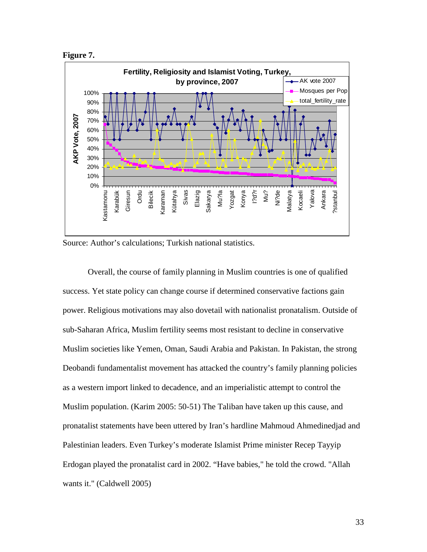



Source: Author's calculations; Turkish national statistics.

Overall, the course of family planning in Muslim countries is one of qualified success. Yet state policy can change course if determined conservative factions gain power. Religious motivations may also dovetail with nationalist pronatalism. Outside of sub-Saharan Africa, Muslim fertility seems most resistant to decline in conservative Muslim societies like Yemen, Oman, Saudi Arabia and Pakistan. In Pakistan, the strong Deobandi fundamentalist movement has attacked the country's family planning policies as a western import linked to decadence, and an imperialistic attempt to control the Muslim population. (Karim 2005: 50-51) The Taliban have taken up this cause, and pronatalist statements have been uttered by Iran's hardline Mahmoud Ahmedinedjad and Palestinian leaders. Even Turkey's moderate Islamist Prime minister Recep Tayyip Erdogan played the pronatalist card in 2002. "Have babies," he told the crowd. "Allah wants it." (Caldwell 2005)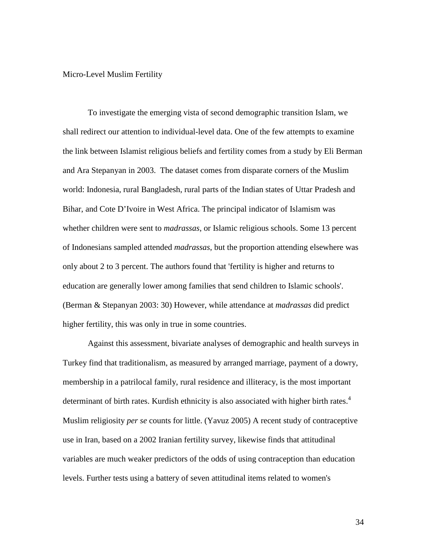## Micro-Level Muslim Fertility

To investigate the emerging vista of second demographic transition Islam, we shall redirect our attention to individual-level data. One of the few attempts to examine the link between Islamist religious beliefs and fertility comes from a study by Eli Berman and Ara Stepanyan in 2003. The dataset comes from disparate corners of the Muslim world: Indonesia, rural Bangladesh, rural parts of the Indian states of Uttar Pradesh and Bihar, and Cote D'Ivoire in West Africa. The principal indicator of Islamism was whether children were sent to *madrassas*, or Islamic religious schools. Some 13 percent of Indonesians sampled attended *madrassas*, but the proportion attending elsewhere was only about 2 to 3 percent. The authors found that 'fertility is higher and returns to education are generally lower among families that send children to Islamic schools'. (Berman & Stepanyan 2003: 30) However, while attendance at *madrassas* did predict higher fertility, this was only in true in some countries.

Against this assessment, bivariate analyses of demographic and health surveys in Turkey find that traditionalism, as measured by arranged marriage, payment of a dowry, membership in a patrilocal family, rural residence and illiteracy, is the most important determinant of birth rates. Kurdish ethnicity is also associated with higher birth rates.<sup>4</sup> Muslim religiosity *per se* counts for little. (Yavuz 2005) A recent study of contraceptive use in Iran, based on a 2002 Iranian fertility survey, likewise finds that attitudinal variables are much weaker predictors of the odds of using contraception than education levels. Further tests using a battery of seven attitudinal items related to women's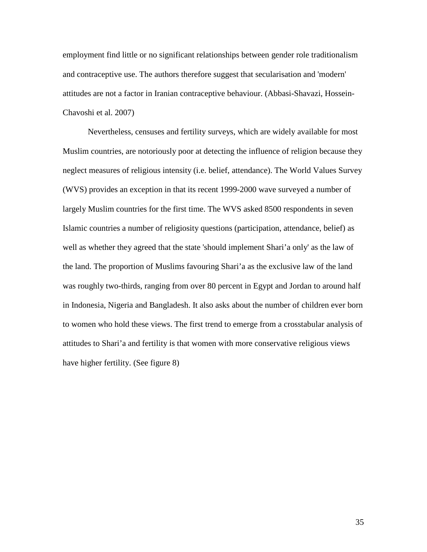employment find little or no significant relationships between gender role traditionalism and contraceptive use. The authors therefore suggest that secularisation and 'modern' attitudes are not a factor in Iranian contraceptive behaviour. (Abbasi-Shavazi, Hossein-Chavoshi et al. 2007)

Nevertheless, censuses and fertility surveys, which are widely available for most Muslim countries, are notoriously poor at detecting the influence of religion because they neglect measures of religious intensity (i.e. belief, attendance). The World Values Survey (WVS) provides an exception in that its recent 1999-2000 wave surveyed a number of largely Muslim countries for the first time. The WVS asked 8500 respondents in seven Islamic countries a number of religiosity questions (participation, attendance, belief) as well as whether they agreed that the state 'should implement Shari'a only' as the law of the land. The proportion of Muslims favouring Shari'a as the exclusive law of the land was roughly two-thirds, ranging from over 80 percent in Egypt and Jordan to around half in Indonesia, Nigeria and Bangladesh. It also asks about the number of children ever born to women who hold these views. The first trend to emerge from a crosstabular analysis of attitudes to Shari'a and fertility is that women with more conservative religious views have higher fertility. (See figure 8)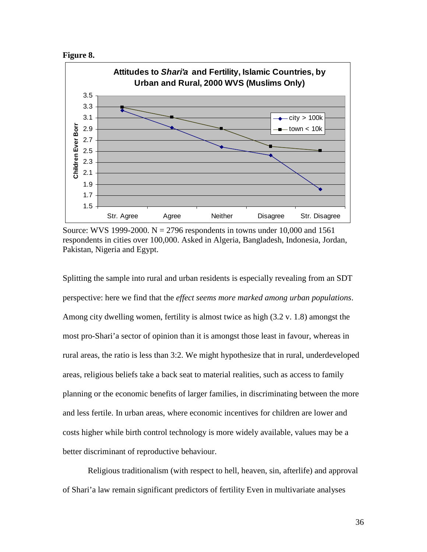



Source: WVS 1999-2000.  $N = 2796$  respondents in towns under 10,000 and 1561 respondents in cities over 100,000. Asked in Algeria, Bangladesh, Indonesia, Jordan, Pakistan, Nigeria and Egypt.

Splitting the sample into rural and urban residents is especially revealing from an SDT perspective: here we find that the *effect seems more marked among urban populations*. Among city dwelling women, fertility is almost twice as high (3.2 v. 1.8) amongst the most pro-Shari'a sector of opinion than it is amongst those least in favour, whereas in rural areas, the ratio is less than 3:2. We might hypothesize that in rural, underdeveloped areas, religious beliefs take a back seat to material realities, such as access to family planning or the economic benefits of larger families, in discriminating between the more and less fertile. In urban areas, where economic incentives for children are lower and costs higher while birth control technology is more widely available, values may be a better discriminant of reproductive behaviour.

Religious traditionalism (with respect to hell, heaven, sin, afterlife) and approval of Shari'a law remain significant predictors of fertility Even in multivariate analyses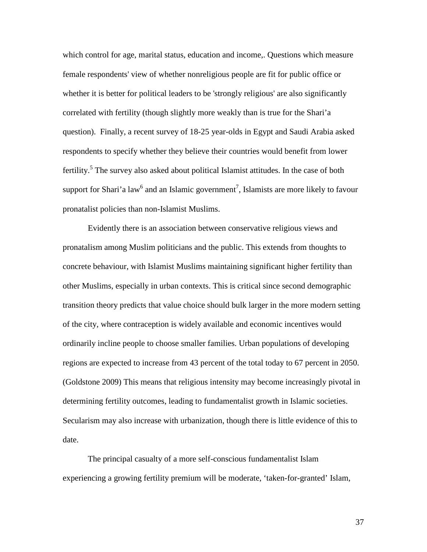which control for age, marital status, education and income,. Questions which measure female respondents' view of whether nonreligious people are fit for public office or whether it is better for political leaders to be 'strongly religious' are also significantly correlated with fertility (though slightly more weakly than is true for the Shari'a question). Finally, a recent survey of 18-25 year-olds in Egypt and Saudi Arabia asked respondents to specify whether they believe their countries would benefit from lower fertility.<sup>5</sup> The survey also asked about political Islamist attitudes. In the case of both support for Shari'a law<sup>6</sup> and an Islamic government<sup>7</sup>, Islamists are more likely to favour pronatalist policies than non-Islamist Muslims.

Evidently there is an association between conservative religious views and pronatalism among Muslim politicians and the public. This extends from thoughts to concrete behaviour, with Islamist Muslims maintaining significant higher fertility than other Muslims, especially in urban contexts. This is critical since second demographic transition theory predicts that value choice should bulk larger in the more modern setting of the city, where contraception is widely available and economic incentives would ordinarily incline people to choose smaller families. Urban populations of developing regions are expected to increase from 43 percent of the total today to 67 percent in 2050. (Goldstone 2009) This means that religious intensity may become increasingly pivotal in determining fertility outcomes, leading to fundamentalist growth in Islamic societies. Secularism may also increase with urbanization, though there is little evidence of this to date.

The principal casualty of a more self-conscious fundamentalist Islam experiencing a growing fertility premium will be moderate, 'taken-for-granted' Islam,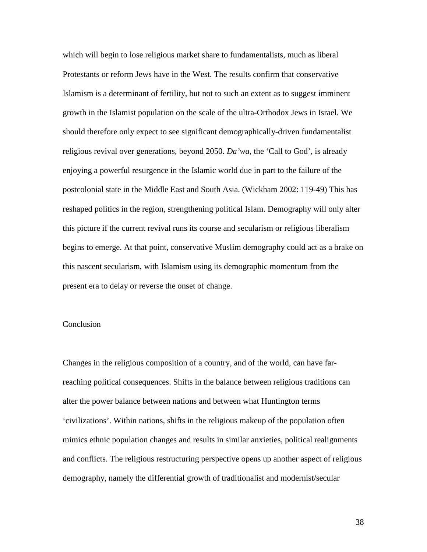which will begin to lose religious market share to fundamentalists, much as liberal Protestants or reform Jews have in the West. The results confirm that conservative Islamism is a determinant of fertility, but not to such an extent as to suggest imminent growth in the Islamist population on the scale of the ultra-Orthodox Jews in Israel. We should therefore only expect to see significant demographically-driven fundamentalist religious revival over generations, beyond 2050. *Da'wa*, the 'Call to God', is already enjoying a powerful resurgence in the Islamic world due in part to the failure of the postcolonial state in the Middle East and South Asia. (Wickham 2002: 119-49) This has reshaped politics in the region, strengthening political Islam. Demography will only alter this picture if the current revival runs its course and secularism or religious liberalism begins to emerge. At that point, conservative Muslim demography could act as a brake on this nascent secularism, with Islamism using its demographic momentum from the present era to delay or reverse the onset of change.

## Conclusion

Changes in the religious composition of a country, and of the world, can have farreaching political consequences. Shifts in the balance between religious traditions can alter the power balance between nations and between what Huntington terms 'civilizations'. Within nations, shifts in the religious makeup of the population often mimics ethnic population changes and results in similar anxieties, political realignments and conflicts. The religious restructuring perspective opens up another aspect of religious demography, namely the differential growth of traditionalist and modernist/secular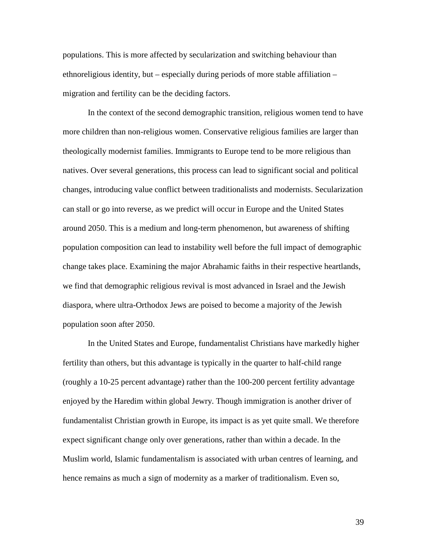populations. This is more affected by secularization and switching behaviour than ethnoreligious identity, but – especially during periods of more stable affiliation – migration and fertility can be the deciding factors.

In the context of the second demographic transition, religious women tend to have more children than non-religious women. Conservative religious families are larger than theologically modernist families. Immigrants to Europe tend to be more religious than natives. Over several generations, this process can lead to significant social and political changes, introducing value conflict between traditionalists and modernists. Secularization can stall or go into reverse, as we predict will occur in Europe and the United States around 2050. This is a medium and long-term phenomenon, but awareness of shifting population composition can lead to instability well before the full impact of demographic change takes place. Examining the major Abrahamic faiths in their respective heartlands, we find that demographic religious revival is most advanced in Israel and the Jewish diaspora, where ultra-Orthodox Jews are poised to become a majority of the Jewish population soon after 2050.

In the United States and Europe, fundamentalist Christians have markedly higher fertility than others, but this advantage is typically in the quarter to half-child range (roughly a 10-25 percent advantage) rather than the 100-200 percent fertility advantage enjoyed by the Haredim within global Jewry. Though immigration is another driver of fundamentalist Christian growth in Europe, its impact is as yet quite small. We therefore expect significant change only over generations, rather than within a decade. In the Muslim world, Islamic fundamentalism is associated with urban centres of learning, and hence remains as much a sign of modernity as a marker of traditionalism. Even so,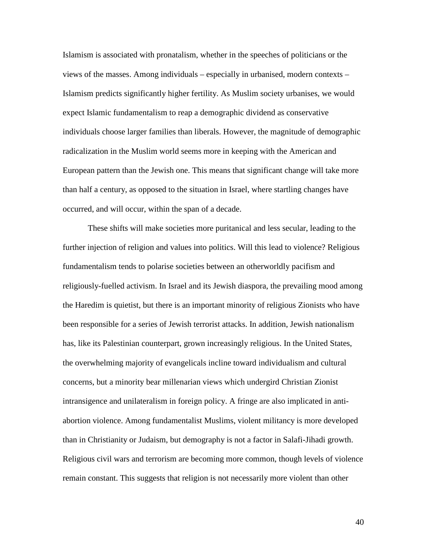Islamism is associated with pronatalism, whether in the speeches of politicians or the views of the masses. Among individuals – especially in urbanised, modern contexts – Islamism predicts significantly higher fertility. As Muslim society urbanises, we would expect Islamic fundamentalism to reap a demographic dividend as conservative individuals choose larger families than liberals. However, the magnitude of demographic radicalization in the Muslim world seems more in keeping with the American and European pattern than the Jewish one. This means that significant change will take more than half a century, as opposed to the situation in Israel, where startling changes have occurred, and will occur, within the span of a decade.

These shifts will make societies more puritanical and less secular, leading to the further injection of religion and values into politics. Will this lead to violence? Religious fundamentalism tends to polarise societies between an otherworldly pacifism and religiously-fuelled activism. In Israel and its Jewish diaspora, the prevailing mood among the Haredim is quietist, but there is an important minority of religious Zionists who have been responsible for a series of Jewish terrorist attacks. In addition, Jewish nationalism has, like its Palestinian counterpart, grown increasingly religious. In the United States, the overwhelming majority of evangelicals incline toward individualism and cultural concerns, but a minority bear millenarian views which undergird Christian Zionist intransigence and unilateralism in foreign policy. A fringe are also implicated in antiabortion violence. Among fundamentalist Muslims, violent militancy is more developed than in Christianity or Judaism, but demography is not a factor in Salafi-Jihadi growth. Religious civil wars and terrorism are becoming more common, though levels of violence remain constant. This suggests that religion is not necessarily more violent than other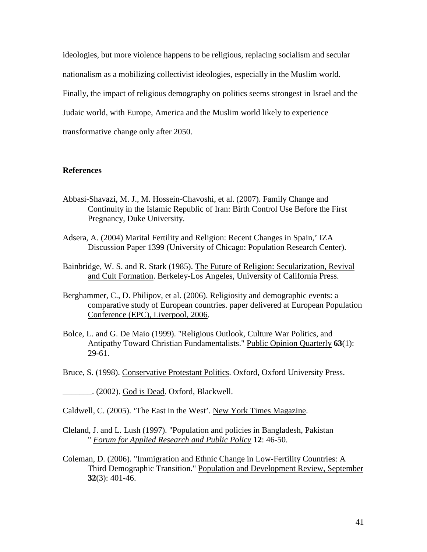ideologies, but more violence happens to be religious, replacing socialism and secular nationalism as a mobilizing collectivist ideologies, especially in the Muslim world. Finally, the impact of religious demography on politics seems strongest in Israel and the Judaic world, with Europe, America and the Muslim world likely to experience transformative change only after 2050.

## **References**

- Abbasi-Shavazi, M. J., M. Hossein-Chavoshi, et al. (2007). Family Change and Continuity in the Islamic Republic of Iran: Birth Control Use Before the First Pregnancy, Duke University.
- Adsera, A. (2004) Marital Fertility and Religion: Recent Changes in Spain,' IZA Discussion Paper 1399 (University of Chicago: Population Research Center).
- Bainbridge, W. S. and R. Stark (1985). The Future of Religion: Secularization, Revival and Cult Formation. Berkeley-Los Angeles, University of California Press.
- Berghammer, C., D. Philipov, et al. (2006). Religiosity and demographic events: a comparative study of European countries. paper delivered at European Population Conference (EPC), Liverpool, 2006.
- Bolce, L. and G. De Maio (1999). "Religious Outlook, Culture War Politics, and Antipathy Toward Christian Fundamentalists." Public Opinion Quarterly **63**(1): 29-61.
- Bruce, S. (1998). Conservative Protestant Politics. Oxford, Oxford University Press.
- \_\_\_\_\_\_\_. (2002). God is Dead. Oxford, Blackwell.

Caldwell, C. (2005). 'The East in the West'. New York Times Magazine.

- Cleland, J. and L. Lush (1997). "Population and policies in Bangladesh, Pakistan " *Forum for Applied Research and Public Policy* **12**: 46-50.
- Coleman, D. (2006). "Immigration and Ethnic Change in Low-Fertility Countries: A Third Demographic Transition." Population and Development Review, September **32**(3): 401-46.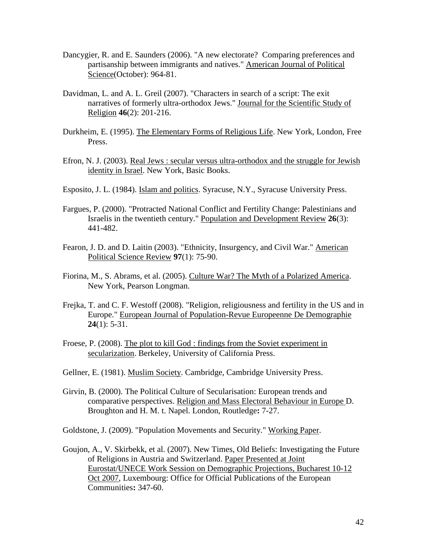- Dancygier, R. and E. Saunders (2006). "A new electorate? Comparing preferences and partisanship between immigrants and natives." American Journal of Political Science(October): 964-81.
- Davidman, L. and A. L. Greil (2007). "Characters in search of a script: The exit narratives of formerly ultra-orthodox Jews." Journal for the Scientific Study of Religion **46**(2): 201-216.
- Durkheim, E. (1995). The Elementary Forms of Religious Life. New York, London, Free Press.
- Efron, N. J. (2003). Real Jews : secular versus ultra-orthodox and the struggle for Jewish identity in Israel. New York, Basic Books.
- Esposito, J. L. (1984). Islam and politics. Syracuse, N.Y., Syracuse University Press.
- Fargues, P. (2000). "Protracted National Conflict and Fertility Change: Palestinians and Israelis in the twentieth century." Population and Development Review **26**(3): 441-482.
- Fearon, J. D. and D. Laitin (2003). "Ethnicity, Insurgency, and Civil War." American Political Science Review **97**(1): 75-90.
- Fiorina, M., S. Abrams, et al. (2005). Culture War? The Myth of a Polarized America. New York, Pearson Longman.
- Frejka, T. and C. F. Westoff (2008). "Religion, religiousness and fertility in the US and in Europe." European Journal of Population-Revue Europeenne De Demographie **24**(1): 5-31.
- Froese, P. (2008). The plot to kill God : findings from the Soviet experiment in secularization. Berkeley, University of California Press.
- Gellner, E. (1981). Muslim Society. Cambridge, Cambridge University Press.
- Girvin, B. (2000). The Political Culture of Secularisation: European trends and comparative perspectives. Religion and Mass Electoral Behaviour in Europe D. Broughton and H. M. t. Napel. London, Routledge**:** 7-27.
- Goldstone, J. (2009). "Population Movements and Security." Working Paper.
- Goujon, A., V. Skirbekk, et al. (2007). New Times, Old Beliefs: Investigating the Future of Religions in Austria and Switzerland. Paper Presented at Joint Eurostat/UNECE Work Session on Demographic Projections, Bucharest 10-12 Oct 2007, Luxembourg: Office for Official Publications of the European Communities**:** 347-60.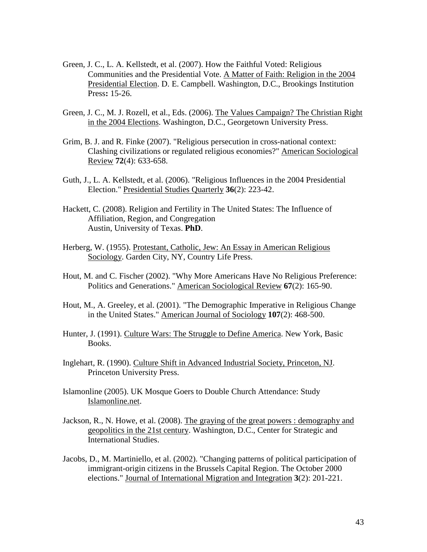- Green, J. C., L. A. Kellstedt, et al. (2007). How the Faithful Voted: Religious Communities and the Presidential Vote. A Matter of Faith: Religion in the 2004 Presidential Election. D. E. Campbell. Washington, D.C., Brookings Institution Press**:** 15-26.
- Green, J. C., M. J. Rozell, et al., Eds. (2006). The Values Campaign? The Christian Right in the 2004 Elections. Washington, D.C., Georgetown University Press.
- Grim, B. J. and R. Finke (2007). "Religious persecution in cross-national context: Clashing civilizations or regulated religious economies?" American Sociological Review **72**(4): 633-658.
- Guth, J., L. A. Kellstedt, et al. (2006). "Religious Influences in the 2004 Presidential Election." Presidential Studies Quarterly **36**(2): 223-42.
- Hackett, C. (2008). Religion and Fertility in The United States: The Influence of Affiliation, Region, and Congregation Austin, University of Texas. **PhD**.
- Herberg, W. (1955). Protestant, Catholic, Jew: An Essay in American Religious Sociology. Garden City, NY, Country Life Press.
- Hout, M. and C. Fischer (2002). "Why More Americans Have No Religious Preference: Politics and Generations." American Sociological Review **67**(2): 165-90.
- Hout, M., A. Greeley, et al. (2001). "The Demographic Imperative in Religious Change in the United States." American Journal of Sociology **107**(2): 468-500.
- Hunter, J. (1991). Culture Wars: The Struggle to Define America. New York, Basic Books.
- Inglehart, R. (1990). Culture Shift in Advanced Industrial Society, Princeton, NJ. Princeton University Press.
- Islamonline (2005). UK Mosque Goers to Double Church Attendance: Study Islamonline.net.
- Jackson, R., N. Howe, et al. (2008). The graying of the great powers : demography and geopolitics in the 21st century. Washington, D.C., Center for Strategic and International Studies.
- Jacobs, D., M. Martiniello, et al. (2002). "Changing patterns of political participation of immigrant-origin citizens in the Brussels Capital Region. The October 2000 elections." Journal of International Migration and Integration **3**(2): 201-221.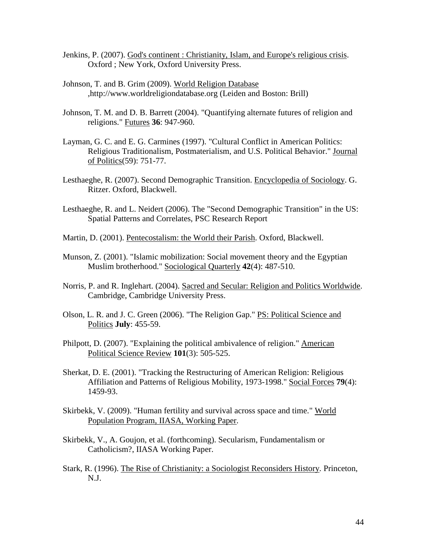- Jenkins, P. (2007). God's continent : Christianity, Islam, and Europe's religious crisis. Oxford ; New York, Oxford University Press.
- Johnson, T. and B. Grim (2009). World Religion Database ,http://www.worldreligiondatabase.org (Leiden and Boston: Brill)
- Johnson, T. M. and D. B. Barrett (2004). "Quantifying alternate futures of religion and religions." Futures **36**: 947-960.
- Layman, G. C. and E. G. Carmines (1997). "Cultural Conflict in American Politics: Religious Traditionalism, Postmaterialism, and U.S. Political Behavior." Journal of Politics(59): 751-77.
- Lesthaeghe, R. (2007). Second Demographic Transition. Encyclopedia of Sociology. G. Ritzer. Oxford, Blackwell.
- Lesthaeghe, R. and L. Neidert (2006). The "Second Demographic Transition" in the US: Spatial Patterns and Correlates, PSC Research Report
- Martin, D. (2001). Pentecostalism: the World their Parish. Oxford, Blackwell.
- Munson, Z. (2001). "Islamic mobilization: Social movement theory and the Egyptian Muslim brotherhood." Sociological Quarterly **42**(4): 487-510.
- Norris, P. and R. Inglehart. (2004). Sacred and Secular: Religion and Politics Worldwide. Cambridge, Cambridge University Press.
- Olson, L. R. and J. C. Green (2006). "The Religion Gap." PS: Political Science and Politics **July**: 455-59.
- Philpott, D. (2007). "Explaining the political ambivalence of religion." American Political Science Review **101**(3): 505-525.
- Sherkat, D. E. (2001). "Tracking the Restructuring of American Religion: Religious Affiliation and Patterns of Religious Mobility, 1973-1998." Social Forces **79**(4): 1459-93.
- Skirbekk, V. (2009). "Human fertility and survival across space and time." World Population Program, IIASA, Working Paper.
- Skirbekk, V., A. Goujon, et al. (forthcoming). Secularism, Fundamentalism or Catholicism?, IIASA Working Paper.
- Stark, R. (1996). The Rise of Christianity: a Sociologist Reconsiders History. Princeton, N.J.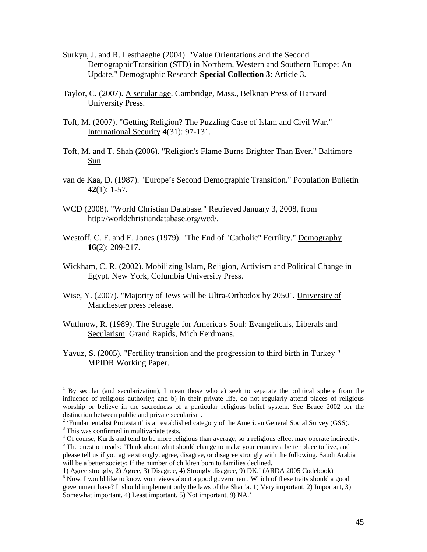- Surkyn, J. and R. Lesthaeghe (2004). "Value Orientations and the Second DemographicTransition (STD) in Northern, Western and Southern Europe: An Update." Demographic Research **Special Collection 3**: Article 3.
- Taylor, C. (2007). A secular age. Cambridge, Mass., Belknap Press of Harvard University Press.
- Toft, M. (2007). "Getting Religion? The Puzzling Case of Islam and Civil War." International Security **4**(31): 97-131.
- Toft, M. and T. Shah (2006). "Religion's Flame Burns Brighter Than Ever." Baltimore Sun.
- van de Kaa, D. (1987). "Europe's Second Demographic Transition." Population Bulletin **42**(1): 1-57.
- WCD (2008). "World Christian Database." Retrieved January 3, 2008, from http://worldchristiandatabase.org/wcd/.
- Westoff, C. F. and E. Jones (1979). "The End of "Catholic" Fertility." Demography **16**(2): 209-217.
- Wickham, C. R. (2002). Mobilizing Islam, Religion, Activism and Political Change in Egypt. New York, Columbia University Press.
- Wise, Y. (2007). "Majority of Jews will be Ultra-Orthodox by 2050". University of Manchester press release.
- Wuthnow, R. (1989). The Struggle for America's Soul: Evangelicals, Liberals and Secularism. Grand Rapids, Mich Eerdmans.
- Yavuz, S. (2005). "Fertility transition and the progression to third birth in Turkey " MPIDR Working Paper.

-

<sup>4</sup> Of course, Kurds and tend to be more religious than average, so a religious effect may operate indirectly.

<sup>1</sup> By secular (and secularization), I mean those who a) seek to separate the political sphere from the influence of religious authority; and b) in their private life, do not regularly attend places of religious worship or believe in the sacredness of a particular religious belief system. See Bruce 2002 for the distinction between public and private secularism.

<sup>&</sup>lt;sup>2</sup> 'Fundamentalist Protestant' is an established category of the American General Social Survey (GSS).

<sup>&</sup>lt;sup>3</sup> This was confirmed in multivariate tests.

<sup>&</sup>lt;sup>5</sup> The question reads: 'Think about what should change to make your country a better place to live, and please tell us if you agree strongly, agree, disagree, or disagree strongly with the following. Saudi Arabia will be a better society: If the number of children born to families declined.

<sup>1)</sup> Agree strongly, 2) Agree, 3) Disagree, 4) Strongly disagree, 9) DK.' (ARDA 2005 Codebook)

<sup>&</sup>lt;sup>6</sup> Now, I would like to know your views about a good government. Which of these traits should a good government have? It should implement only the laws of the Shari'a. 1) Very important, 2) Important, 3) Somewhat important, 4) Least important, 5) Not important, 9) NA.'